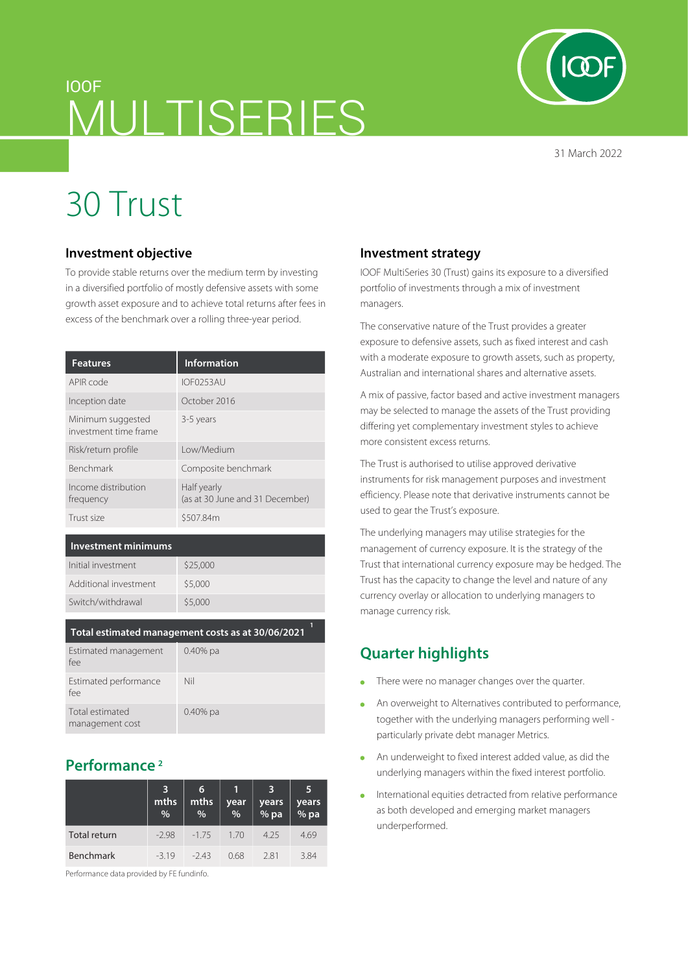# IOOF MULTISERIES

31 March 2022

# 30 Trust

#### **Investment objective**

To provide stable returns over the medium term by investing in a diversified portfolio of mostly defensive assets with some growth asset exposure and to achieve total returns after fees in excess of the benchmark over a rolling three-year period.

| <b>Features</b>                            | <b>Information</b>                             |
|--------------------------------------------|------------------------------------------------|
| APIR code                                  | IOF0253AU                                      |
| Inception date                             | October 2016                                   |
| Minimum suggested<br>investment time frame | 3-5 years                                      |
| Risk/return profile                        | Low/Medium                                     |
| <b>Benchmark</b>                           | Composite benchmark                            |
| Income distribution<br>frequency           | Half yearly<br>(as at 30 June and 31 December) |
| Trust size                                 | \$507.84m                                      |

#### **Investment minimums**

| Initial investment    | \$25,000 |
|-----------------------|----------|
| Additional investment | \$5,000  |
| Switch/withdrawal     | \$5,000  |
|                       |          |

#### **Total estimated management costs as at 30/06/2021**

| Estimated management<br>fee        | $0.40\%$ pa |
|------------------------------------|-------------|
| Estimated performance<br>fee       | Nil         |
| Total estimated<br>management cost | $0.40\%$ pa |

## **Performance 2**

|                  | 3<br>mths<br>% | 6<br>mths<br>% | year<br>$\%$ | years<br>% pa | 5<br>years<br>% pa |
|------------------|----------------|----------------|--------------|---------------|--------------------|
| Total return     | $-2.98$        | $-175$         | 1.70         | 4.25          | 4.69               |
| <b>Benchmark</b> | $-319$         | $-243$         | 0.68         | 281           | 3.84               |

Performance data provided by FE fundinfo.

#### **Investment strategy**

IOOF MultiSeries 30 (Trust) gains its exposure to a diversified portfolio of investments through a mix of investment managers.

The conservative nature of the Trust provides a greater exposure to defensive assets, such as fixed interest and cash with a moderate exposure to growth assets, such as property, Australian and international shares and alternative assets.

A mix of passive, factor based and active investment managers may be selected to manage the assets of the Trust providing differing yet complementary investment styles to achieve more consistent excess returns.

The Trust is authorised to utilise approved derivative instruments for risk management purposes and investment efficiency. Please note that derivative instruments cannot be used to gear the Trust's exposure.

The underlying managers may utilise strategies for the management of currency exposure. It is the strategy of the Trust that international currency exposure may be hedged. The Trust has the capacity to change the level and nature of any currency overlay or allocation to underlying managers to manage currency risk.

# **Quarter highlights**

- There were no manager changes over the quarter.  $\Delta$
- An overweight to Alternatives contributed to performance, together with the underlying managers performing well particularly private debt manager Metrics.
- An underweight to fixed interest added value, as did the  $\bullet$ underlying managers within the fixed interest portfolio.
- International equities detracted from relative performance  $\bullet$ as both developed and emerging market managers underperformed.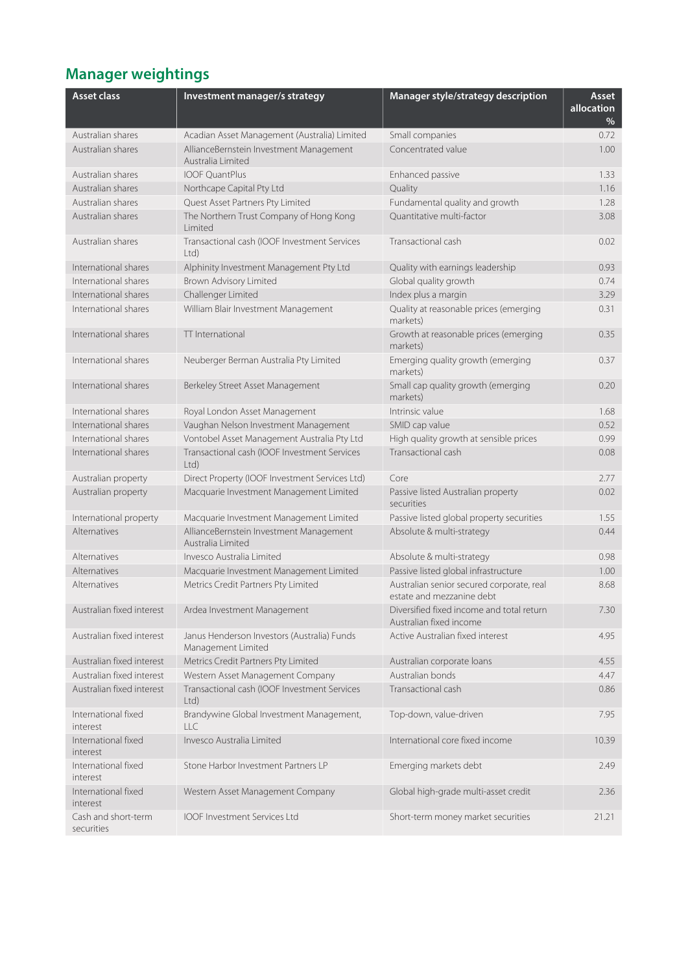# **Manager weightings**

| <b>Asset class</b>                | Investment manager/s strategy                                     | Manager style/strategy description                                     | Asset<br>allocation<br>$\%$ |
|-----------------------------------|-------------------------------------------------------------------|------------------------------------------------------------------------|-----------------------------|
| Australian shares                 | Acadian Asset Management (Australia) Limited                      | Small companies                                                        | 0.72                        |
| Australian shares                 | AllianceBernstein Investment Management<br>Australia Limited      | Concentrated value                                                     | 1.00                        |
| Australian shares                 | <b>IOOF OuantPlus</b>                                             | Enhanced passive                                                       | 1.33                        |
| Australian shares                 | Northcape Capital Pty Ltd                                         | Quality                                                                | 1.16                        |
| Australian shares                 | Quest Asset Partners Pty Limited                                  | Fundamental quality and growth                                         | 1.28                        |
| Australian shares                 | The Northern Trust Company of Hong Kong<br>Limited                | Ouantitative multi-factor                                              | 3.08                        |
| Australian shares                 | Transactional cash (IOOF Investment Services<br>Ltd               | Transactional cash                                                     | 0.02                        |
| International shares              | Alphinity Investment Management Pty Ltd                           | Quality with earnings leadership                                       | 0.93                        |
| International shares              | Brown Advisory Limited                                            | Global quality growth                                                  | 0.74                        |
| International shares              | Challenger Limited                                                | Index plus a margin                                                    | 3.29                        |
| International shares              | William Blair Investment Management                               | Quality at reasonable prices (emerging<br>markets)                     | 0.31                        |
| International shares              | TT International                                                  | Growth at reasonable prices (emerging<br>markets)                      | 0.35                        |
| International shares              | Neuberger Berman Australia Pty Limited                            | Emerging quality growth (emerging<br>markets)                          | 0.37                        |
| International shares              | Berkeley Street Asset Management                                  | Small cap quality growth (emerging<br>markets)                         | 0.20                        |
| International shares              | Royal London Asset Management                                     | Intrinsic value                                                        | 1.68                        |
| International shares              | Vaughan Nelson Investment Management                              | SMID cap value                                                         | 0.52                        |
| International shares              | Vontobel Asset Management Australia Pty Ltd                       | High quality growth at sensible prices                                 | 0.99                        |
| International shares              | Transactional cash (IOOF Investment Services<br>Ltd)              | Transactional cash                                                     | 0.08                        |
| Australian property               | Direct Property (IOOF Investment Services Ltd)                    | Core                                                                   | 2.77                        |
| Australian property               | Macquarie Investment Management Limited                           | Passive listed Australian property<br>securities                       | 0.02                        |
| International property            | Macquarie Investment Management Limited                           | Passive listed global property securities                              | 1.55                        |
| Alternatives                      | AllianceBernstein Investment Management<br>Australia Limited      | Absolute & multi-strategy                                              | 0.44                        |
| Alternatives                      | Invesco Australia Limited                                         | Absolute & multi-strategy                                              | 0.98                        |
| Alternatives                      | Macquarie Investment Management Limited                           | Passive listed global infrastructure                                   | 1.00                        |
| Alternatives                      | Metrics Credit Partners Pty Limited                               | Australian senior secured corporate, real<br>estate and mezzanine debt | 8.68                        |
| Australian fixed interest         | Ardea Investment Management                                       | Diversified fixed income and total return<br>Australian fixed income   | 7.30                        |
| Australian fixed interest         | Janus Henderson Investors (Australia) Funds<br>Management Limited | Active Australian fixed interest                                       | 4.95                        |
| Australian fixed interest         | Metrics Credit Partners Pty Limited                               | Australian corporate loans                                             | 4.55                        |
| Australian fixed interest         | Western Asset Management Company                                  | Australian bonds                                                       | 4.47                        |
| Australian fixed interest         | Transactional cash (IOOF Investment Services<br>Ltd               | Transactional cash                                                     | 0.86                        |
| International fixed<br>interest   | Brandywine Global Investment Management,<br>LLC                   | Top-down, value-driven                                                 | 7.95                        |
| International fixed<br>interest   | Invesco Australia Limited                                         | International core fixed income                                        | 10.39                       |
| International fixed<br>interest   | Stone Harbor Investment Partners LP                               | Emerging markets debt                                                  | 2.49                        |
| International fixed<br>interest   | Western Asset Management Company                                  | Global high-grade multi-asset credit                                   | 2.36                        |
| Cash and short-term<br>securities | IOOF Investment Services Ltd                                      | Short-term money market securities                                     | 21.21                       |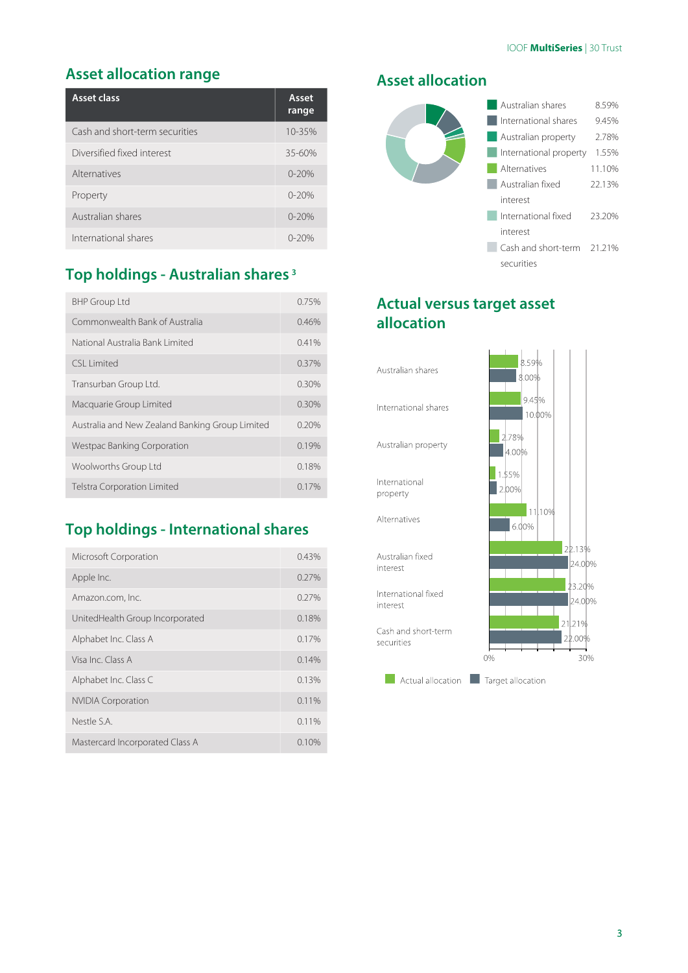## **Asset allocation range**

| Asset class                    | Asset<br>range |
|--------------------------------|----------------|
| Cash and short-term securities | 10-35%         |
| Diversified fixed interest     | $35 - 60%$     |
| Alternatives                   | $0 - 20%$      |
| Property                       | $0 - 20%$      |
| Australian shares              | $0 - 20%$      |
| International shares           | 0-20%          |

# **Top holdings - Australian shares 3**

| <b>BHP Group Ltd</b>                            | 0.75%    |
|-------------------------------------------------|----------|
| Commonwealth Bank of Australia                  | 0.46%    |
| National Australia Bank Limited                 | 0.41%    |
| CSI Limited                                     | 0.37%    |
| Transurban Group Ltd.                           | $0.30\%$ |
| Macquarie Group Limited                         | 0.30%    |
| Australia and New Zealand Banking Group Limited | 0.20%    |
| Westpac Banking Corporation                     | 0.19%    |
| Woolworths Group Ltd                            | 0.18%    |
| <b>Telstra Corporation Limited</b>              | $0.17\%$ |

# **Top holdings - International shares**

| Microsoft Corporation           | 0.43% |
|---------------------------------|-------|
| Apple Inc.                      | 0.27% |
| Amazon.com, Inc.                | 0.27% |
| UnitedHealth Group Incorporated | 0.18% |
| Alphabet Inc. Class A           | 0.17% |
| Visa Inc. Class A               | 0.14% |
| Alphabet Inc. Class C           | 0.13% |
| <b>NVIDIA Corporation</b>       | 0.11% |
| Nestle S.A.                     | 0.11% |
| Mastercard Incorporated Class A | 0.10% |

### **Asset allocation**



# **Actual versus target asset allocation**